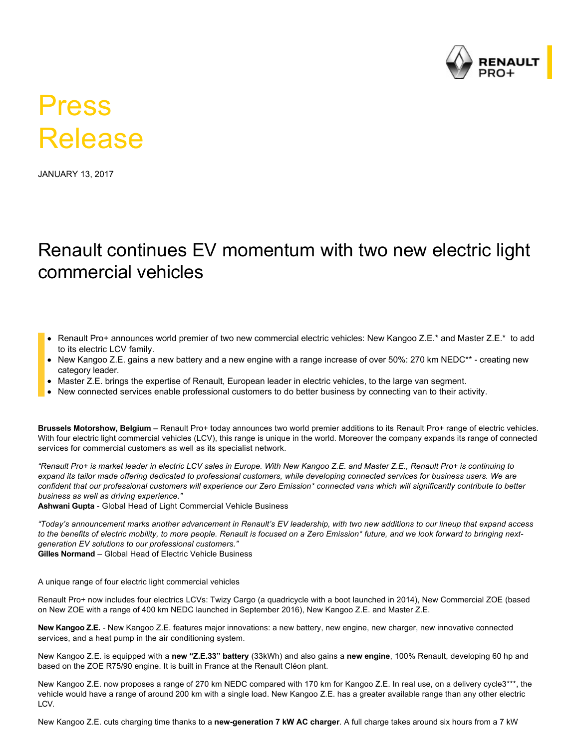

## Press Release

JANUARY 13, 2017

## Renault continues EV momentum with two new electric light commercial vehicles

- Renault Pro+ announces world premier of two new commercial electric vehicles: New Kangoo Z.E.\* and Master Z.E.\* to add to its electric LCV family.
- New Kangoo Z.E. gains a new battery and a new engine with a range increase of over 50%: 270 km NEDC\*\* creating new category leader.
- Master Z.E. brings the expertise of Renault, European leader in electric vehicles, to the large van segment.
- New connected services enable professional customers to do better business by connecting van to their activity.

**Brussels Motorshow, Belgium** – Renault Pro+ today announces two world premier additions to its Renault Pro+ range of electric vehicles. With four electric light commercial vehicles (LCV), this range is unique in the world. Moreover the company expands its range of connected services for commercial customers as well as its specialist network.

*"Renault Pro+ is market leader in electric LCV sales in Europe. With New Kangoo Z.E. and Master Z.E., Renault Pro+ is continuing to expand its tailor made offering dedicated to professional customers, while developing connected services for business users. We are confident that our professional customers will experience our Zero Emission\* connected vans which will significantly contribute to better business as well as driving experience."*

Ashwani Gupta - Global Head of Light Commercial Vehicle Business

*"Today's announcement marks another advancement in Renault's EV leadership, with two new additions to our lineup that expand access to the benefits of electric mobility, to more people. Renault is focused on a Zero Emission\* future, and we look forward to bringing nextgeneration EV solutions to our professional customers."*

**Gilles Normand** – Global Head of Electric Vehicle Business

A unique range of four electric light commercial vehicles

Renault Pro+ now includes four electrics LCVs: Twizy Cargo (a quadricycle with a boot launched in 2014), New Commercial ZOE (based on New ZOE with a range of 400 km NEDC launched in September 2016), New Kangoo Z.E. and Master Z.E.

**New Kangoo Z.E.** New Kangoo Z.E. features major innovations: a new battery, new engine, new charger, new innovative connected services, and a heat pump in the air conditioning system.

New Kangoo Z.E. is equipped with a **new "Z.E.33" battery** (33kWh) and also gains a **new engine**, 100% Renault, developing 60 hp and based on the ZOE R75/90 engine. It is built in France at the Renault Cléon plant.

New Kangoo Z.E. now proposes a range of 270 km NEDC compared with 170 km for Kangoo Z.E. In real use, on a delivery cycle3\*\*\*, the vehicle would have a range of around 200 km with a single load. New Kangoo Z.E. has a greater available range than any other electric LCV.

New Kangoo Z.E. cuts charging time thanks to a **newgeneration 7 kW AC charger**. A full charge takes around six hours from a 7 kW